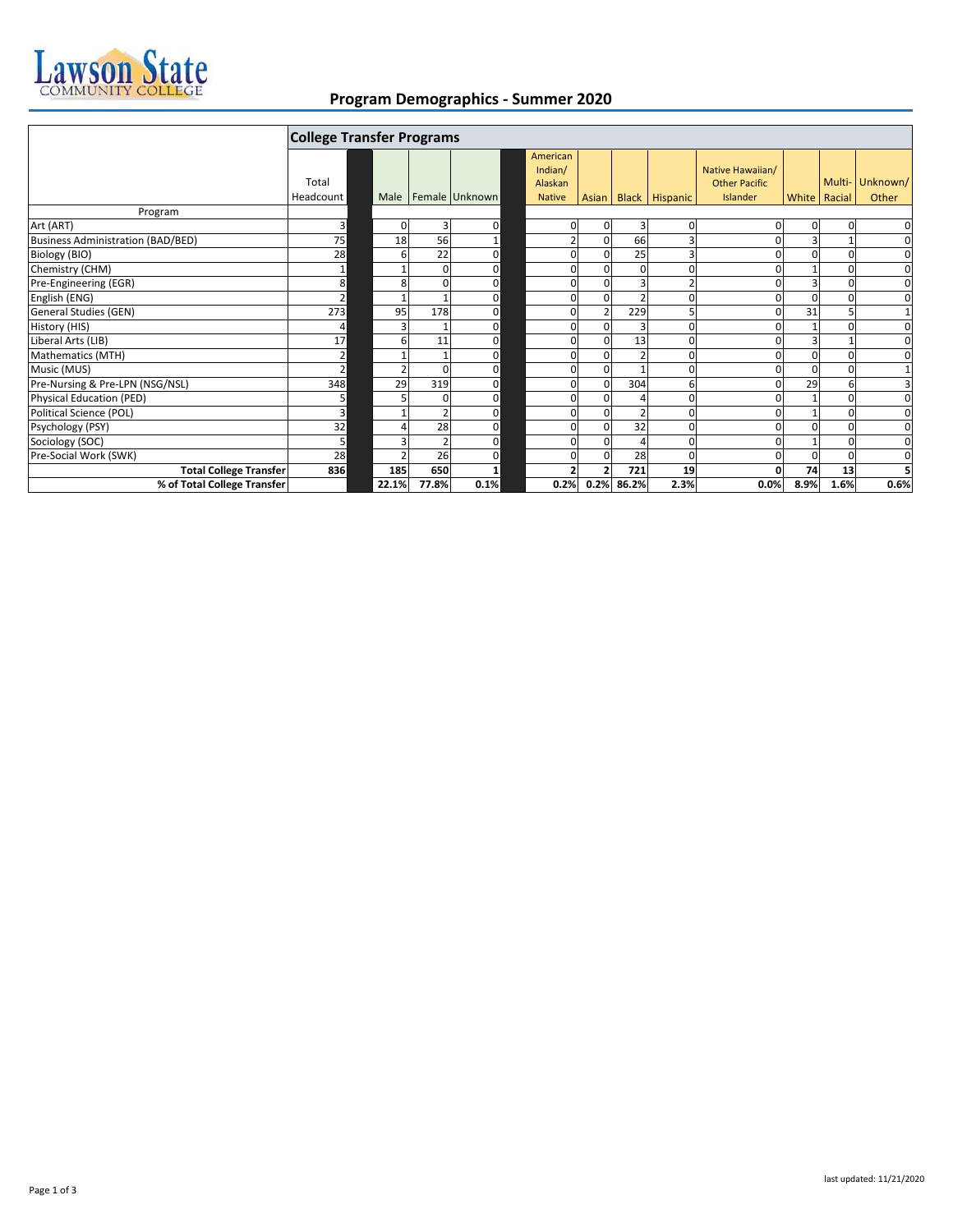

## **Program Demographics - Summer 2020**

| <b>College Transfer Programs</b>         |                |       |              |                         |  |                                |  |            |                      |                                          |              |        |              |
|------------------------------------------|----------------|-------|--------------|-------------------------|--|--------------------------------|--|------------|----------------------|------------------------------------------|--------------|--------|--------------|
|                                          | Total          |       |              |                         |  | American<br>Indian/<br>Alaskan |  |            |                      | Native Hawaiian/<br><b>Other Pacific</b> |              | Multi- | Unknown/     |
|                                          | Headcount      |       |              | Male   Female   Unknown |  | <b>Native</b>                  |  |            | Asian Black Hispanic | Islander                                 | White Racial |        | Other        |
| Program                                  |                |       |              |                         |  |                                |  |            |                      |                                          |              |        |              |
| Art (ART)                                | 3 <sup>1</sup> |       | 3            | 0                       |  | 0                              |  | 3          | 0                    |                                          | 0            |        | 0            |
| <b>Business Administration (BAD/BED)</b> | 75             | 18    | 56           |                         |  | $\overline{2}$                 |  | 66         | 3                    |                                          | 3            |        | $\mathbf 0$  |
| Biology (BIO)                            | 28             |       | 22           | 0                       |  | $\Omega$                       |  | 25         | 3                    |                                          | <sup>0</sup> | O      | 0            |
| Chemistry (CHM)                          | 1              |       | <sup>0</sup> | $\mathbf 0$             |  | O                              |  |            | $\Omega$             |                                          |              | n      | 0            |
| Pre-Engineering (EGR)                    | 8              |       |              | 0                       |  | 0                              |  | 3          |                      |                                          | 3            | 0      | 0            |
| English (ENG)                            | $\overline{2}$ |       |              | $\Omega$                |  | O                              |  |            | $\Omega$             | U                                        | $\Omega$     | O      | $\pmb{0}$    |
| General Studies (GEN)                    | 273            | 95    | 178          | $\mathbf 0$             |  | 0                              |  | 229        | 5                    |                                          | 31           |        | $\mathbf{1}$ |
| History (HIS)                            | 4              |       |              | 0                       |  | O                              |  |            | $\Omega$             |                                          |              |        | $\mathbf 0$  |
| Liberal Arts (LIB)                       | 17             |       | 11           | 0                       |  | $\Omega$                       |  | 13         | $\Omega$             |                                          | 3            |        | 0            |
| Mathematics (MTH)                        | $\overline{2}$ |       |              | 0                       |  | $\Omega$                       |  |            | $\Omega$             |                                          | <sup>0</sup> | O      | 0            |
| Music (MUS)                              | $\overline{2}$ |       | <sup>0</sup> | $\mathbf 0$             |  | O                              |  |            | $\Omega$             | n                                        | 0            | n      | 1            |
| Pre-Nursing & Pre-LPN (NSG/NSL)          | 348            | 29    | 319          | 0                       |  | 0                              |  | 304        | 6                    |                                          | 29           | 6      | 3            |
| Physical Education (PED)                 | 5              |       |              | 0                       |  | $\Omega$                       |  |            | 0                    |                                          |              | O      | 0            |
| Political Science (POL)                  | 3              |       |              | 0                       |  | 0                              |  |            | $\Omega$             |                                          |              | O      | 0            |
| Psychology (PSY)                         | 32             |       | 28           | 0                       |  | O                              |  | 32         | $\Omega$             |                                          | 0            |        | $\mathbf 0$  |
| Sociology (SOC)                          | 5              |       |              | 0                       |  | 0                              |  |            | $\Omega$             |                                          |              |        | 0            |
| Pre-Social Work (SWK)                    | 28             |       | 26           | 0                       |  | $\Omega$                       |  | 28         | $\Omega$             |                                          | 0            |        | $\mathbf 0$  |
| <b>Total College Transfer</b>            | 836            | 185   | 650          | 1                       |  |                                |  | 721        | 19                   | ΩI                                       | 74           | 13     | 5            |
| % of Total College Transfer              |                | 22.1% | 77.8%        | 0.1%                    |  | 0.2%                           |  | 0.2% 86.2% | 2.3%                 | 0.0%                                     | 8.9%         | 1.6%   | 0.6%         |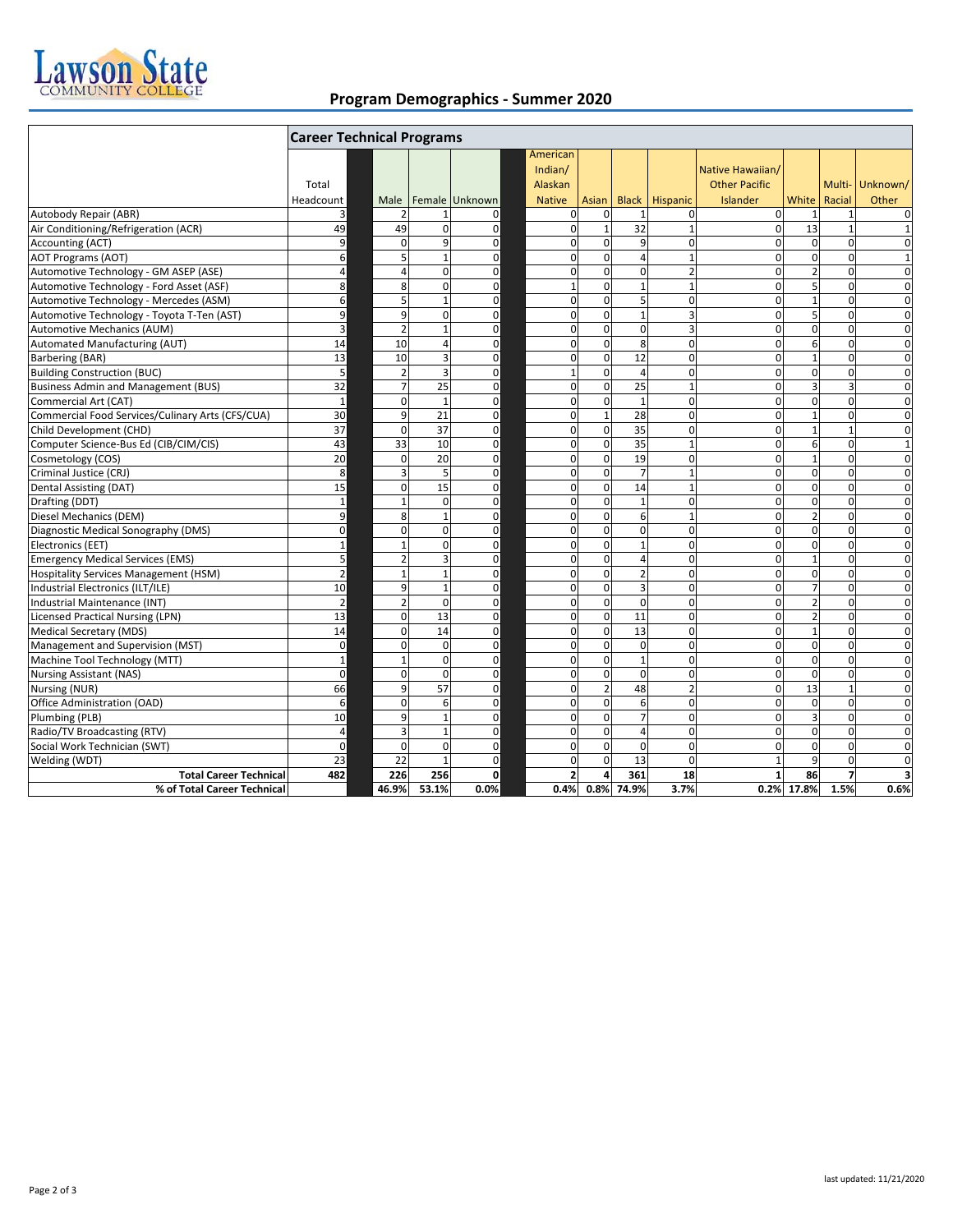

## **Program Demographics - Summer 2020**

|                                                  | <b>Career Technical Programs</b> |                         |                 |                |                                |                 |                 |                         |                                          |                |                |                 |
|--------------------------------------------------|----------------------------------|-------------------------|-----------------|----------------|--------------------------------|-----------------|-----------------|-------------------------|------------------------------------------|----------------|----------------|-----------------|
|                                                  | Total                            |                         |                 |                | American<br>Indian/<br>Alaskan |                 |                 |                         | Native Hawaiian/<br><b>Other Pacific</b> |                |                | Multi- Unknown/ |
|                                                  | Headcount                        | Male                    |                 | Female Unknown | <b>Native</b>                  | Asian           |                 | <b>Black</b> Hispanic   | Islander                                 | White          | Racial         | Other           |
| Autobody Repair (ABR)                            | 3                                |                         | 1               | $\mathbf 0$    | 0                              | 0               |                 | $\mathbf 0$             | $\mathbf{0}$                             | $\mathbf{1}$   | $\mathbf{1}$   | $\mathbf 0$     |
| Air Conditioning/Refrigeration (ACR)             | 49                               | 49                      | $\Omega$        | $\mathbf 0$    | $\mathbf 0$                    | $1\overline{ }$ | $\overline{32}$ | $\mathbf{1}$            | $\mathbf{0}$                             | 13             | $\mathbf{1}$   | $\mathbf{1}$    |
| Accounting (ACT)                                 | 9                                | $\Omega$                | $\mathbf{q}$    | 0              | $\mathbf 0$                    | $\mathbf 0$     | 9               | $\pmb{0}$               | $\mathbf{0}$                             | $\mathbf 0$    | $\mathbf 0$    | $\mathbf 0$     |
| <b>AOT Programs (AOT)</b>                        | 6                                |                         | $\mathbf{1}$    | $\mathbf 0$    | 0                              | $\mathbf 0$     | 4               | $\mathbf{1}$            | 0                                        | $\mathbf 0$    | $\Omega$       | $\mathbf{1}$    |
| Automotive Technology - GM ASEP (ASE)            | 4                                |                         | $\Omega$        | $\mathbf 0$    | 0                              | $\Omega$        | $\mathbf 0$     | $\overline{2}$          | $\Omega$                                 | $\overline{2}$ | $\Omega$       | $\mathbf 0$     |
| Automotive Technology - Ford Asset (ASF)         | 8                                | $\mathsf{\overline{8}}$ | $\Omega$        | $\mathbf 0$    | $\mathbf{1}$                   | $\mathbf 0$     | $\mathbf{1}$    | $\mathbf{1}$            | $\Omega$                                 | 5              | $\Omega$       | $\overline{0}$  |
| Automotive Technology - Mercedes (ASM)           | 6                                | 5                       | $\mathbf{1}$    | $\mathbf 0$    | $\mathbf 0$                    | $\Omega$        | 5               | $\mathbf 0$             | $\Omega$                                 | $\mathbf{1}$   | $\Omega$       | $\Omega$        |
| Automotive Technology - Toyota T-Ten (AST)       | 9                                | 9                       | $\mathbf 0$     | 0              | 0                              | $\mathbf 0$     | $\mathbf{1}$    | 3                       | $\overline{0}$                           | 5              | $\mathbf 0$    | 0               |
| Automotive Mechanics (AUM)                       | 3                                |                         | $\mathbf{1}$    | $\mathbf 0$    | $\mathbf 0$                    | $\mathbf 0$     | $\mathbf 0$     | $\overline{\mathbf{3}}$ | $\mathbf 0$                              | $\mathbf 0$    | $\mathbf 0$    | $\mathbf 0$     |
| Automated Manufacturing (AUT)                    | 14                               | 10                      | 4               | $\mathbf 0$    | $\mathbf 0$                    | $\mathbf 0$     | 8               | $\mathbf 0$             | $\Omega$                                 | 6              | $\mathbf 0$    | $\mathbf 0$     |
| Barbering (BAR)                                  | 13                               | 10                      | 3               | $\mathbf 0$    | 0                              | $\mathbf 0$     | 12              | $\mathbf 0$             | $\mathbf 0$                              | $\mathbf{1}$   | $\mathbf 0$    | $\mathbf 0$     |
| <b>Building Construction (BUC)</b>               | 5                                | $\overline{2}$          | 3               | $\mathbf 0$    | $\mathbf{1}$                   | $\Omega$        | 4               | $\mathbf 0$             | $\Omega$                                 | $\mathbf 0$    | $\mathbf 0$    | $\mathbf 0$     |
| <b>Business Admin and Management (BUS)</b>       | 32                               |                         | 25              | 0              | 0                              | $\mathbf 0$     | 25              | $\mathbf{1}$            | $\Omega$                                 | 3              | 3              | $\mathbf 0$     |
| Commercial Art (CAT)                             | $\mathbf{1}$                     | $\Omega$                | $\overline{1}$  | $\mathbf 0$    | $\mathbf 0$                    | $\mathbf 0$     | $\mathbf{1}$    | $\Omega$                | 0                                        | $\mathbf 0$    | $\Omega$       | $\mathbf 0$     |
| Commercial Food Services/Culinary Arts (CFS/CUA) | 30                               | 9                       | 21              | 0              | 0                              | $\mathbf{1}$    | 28              | $\mathbf 0$             | 0                                        | $\overline{1}$ | $\mathbf 0$    | $\mathbf 0$     |
| Child Development (CHD)                          | $\overline{37}$                  | $\Omega$                | $\overline{37}$ | 0              | 0                              | $\mathbf 0$     | $\overline{35}$ | $\mathbf 0$             | 0                                        | $\mathbf{1}$   | $\overline{1}$ | $\mathbf 0$     |
| Computer Science-Bus Ed (CIB/CIM/CIS)            | 43                               | 33                      | 10              | $\mathbf 0$    | 0                              | $\mathbf 0$     | $\overline{35}$ | $\mathbf{1}$            | 0                                        | 6              | $\mathbf 0$    | $\mathbf{1}$    |
| Cosmetology (COS)                                | 20                               | $\Omega$                | 20              | $\mathbf 0$    | 0                              | $\mathbf{0}$    | 19              | $\mathbf 0$             | $\overline{0}$                           | $\mathbf{1}$   | $\mathbf 0$    | $\mathbf 0$     |
| Criminal Justice (CRJ)                           | 8                                | э                       | 5               | $\mathbf 0$    | $\mathbf 0$                    | $\mathbf 0$     | $\overline{7}$  | $\mathbf{1}$            | 0                                        | $\mathbf 0$    | $\mathbf 0$    | $\mathbf 0$     |
| Dental Assisting (DAT)                           | 15                               | $\Omega$                | 15              | $\mathbf 0$    | 0                              | $\mathbf 0$     | 14              | $\mathbf{1}$            | $\mathbf 0$                              | $\mathbf 0$    | $\mathbf 0$    | $\mathbf 0$     |
| Drafting (DDT)                                   | $\mathbf{1}$                     |                         | $\Omega$        | $\mathbf 0$    | $\mathbf 0$                    | $\Omega$        | $\mathbf{1}$    | $\Omega$                | $\Omega$                                 | $\mathbf 0$    | $\Omega$       | $\Omega$        |
| Diesel Mechanics (DEM)                           | 9                                | 8                       | $\mathbf{1}$    | $\mathbf 0$    | 0                              | $\mathbf 0$     | 6               | $\mathbf{1}$            | 0                                        | $\overline{2}$ | $\Omega$       | $\mathbf 0$     |
| Diagnostic Medical Sonography (DMS)              | $\mathbf 0$                      | $\Omega$                | $\mathbf 0$     | 0              | 0                              | $\mathbf 0$     | $\mathbf 0$     | $\pmb{0}$               | $\overline{0}$                           | $\mathbf 0$    | $\mathbf 0$    | $\mathbf 0$     |
| Electronics (EET)                                | $\mathbf 1$                      |                         | $\Omega$        | $\mathbf 0$    | 0                              | $\mathbf 0$     | $\mathbf{1}$    | $\mathbf 0$             | $\mathbf 0$                              | $\mathbf 0$    | $\mathbf 0$    | $\mathbf 0$     |
| <b>Emergency Medical Services (EMS)</b>          | 5                                |                         | 3               | $\mathbf 0$    | 0                              | $\mathbf 0$     | 4               | $\mathbf 0$             | 0                                        | $\mathbf{1}$   | $\mathbf 0$    | $\mathbf 0$     |
| <b>Hospitality Services Management (HSM)</b>     | $\overline{2}$                   | 1                       | $\overline{1}$  | 0              | $\mathbf 0$                    | $\Omega$        | $\overline{a}$  | $\Omega$                | $\Omega$                                 | $\mathbf 0$    | $\Omega$       | $\Omega$        |
| Industrial Electronics (ILT/ILE)                 | 10                               | q                       | $\mathbf{1}$    | $\mathbf 0$    | 0                              | $\mathbf 0$     | 3               | $\mathbf 0$             | 0                                        | $\overline{7}$ | $\mathbf 0$    | $\mathbf 0$     |
| Industrial Maintenance (INT)                     | $\overline{2}$                   | 2                       | $\mathbf 0$     | $\mathbf 0$    | $\mathbf 0$                    | $\mathbf 0$     | $\mathbf 0$     | $\mathbf{0}$            | $\mathbf{0}$                             | $\overline{2}$ | $\mathbf 0$    | $\mathbf 0$     |
| <b>Licensed Practical Nursing (LPN)</b>          | 13                               | $\Omega$                | 13              | $\mathbf 0$    | 0                              | $\mathbf 0$     | 11              | $\mathbf 0$             | $\Omega$                                 | $\overline{2}$ | $\Omega$       | $\mathbf 0$     |
| <b>Medical Secretary (MDS)</b>                   | 14                               | $\Omega$                | 14              | $\mathbf 0$    | 0                              | $\Omega$        | 13              | $\mathbf 0$             | $\mathbf 0$                              | $\mathbf{1}$   | $\Omega$       | $\mathbf 0$     |
| Management and Supervision (MST)                 | $\mathbf 0$                      | $\Omega$                | $\mathbf 0$     | $\mathbf 0$    | $\mathbf 0$                    | $\mathbf 0$     | $\mathbf 0$     | $\mathbf 0$             | 0                                        | $\mathbf 0$    | $\mathbf 0$    | $\mathbf 0$     |
| Machine Tool Technology (MTT)                    | $\mathbf 1$                      | $\overline{1}$          | 0               | $\mathbf 0$    | $\mathbf 0$                    | $\mathbf 0$     | $\mathbf{1}$    | $\mathbf 0$             | $\mathbf 0$                              | $\mathbf 0$    | $\mathbf 0$    | 0               |
| <b>Nursing Assistant (NAS)</b>                   | $\mathbf 0$                      | $\Omega$                | $\mathbf 0$     | $\mathbf 0$    | 0                              | $\mathbf 0$     | $\mathbf 0$     | $\mathbf 0$             | $\mathbf 0$                              | $\mathbf 0$    | $\mathbf 0$    | $\mathbf 0$     |
| Nursing (NUR)                                    | 66                               | 9                       | 57              | 0              | 0                              | $\overline{2}$  | 48              | $\overline{2}$          | $\Omega$                                 | 13             | $\overline{1}$ | $\mathbf 0$     |
| Office Administration (OAD)                      | 6                                | $\Omega$                | 6               | $\mathbf 0$    | 0                              | $\mathbf 0$     | 6               | $\mathbf 0$             | $\mathbf{0}$                             | $\mathbf 0$    | $\mathbf 0$    | $\mathbf 0$     |
| Plumbing (PLB)                                   | 10                               | q                       | $\mathbf{1}$    | $\mathbf 0$    | 0                              | $\Omega$        | $\overline{7}$  | $\mathbf 0$             | $\Omega$                                 | $\overline{3}$ | $\Omega$       | $\mathbf 0$     |
| Radio/TV Broadcasting (RTV)                      | 4                                | Е                       | $\mathbf{1}$    | $\mathbf 0$    | $\Omega$                       | $\Omega$        | 4               | $\Omega$                | $\Omega$                                 | $\mathbf 0$    | $\Omega$       | $\mathbf 0$     |
| Social Work Technician (SWT)                     | $\Omega$                         | $\Omega$                | $\Omega$        | $\mathbf 0$    | 0                              | $\Omega$        | $\Omega$        | $\mathbf 0$             | $\Omega$                                 | $\mathbf 0$    | $\Omega$       | $\mathbf 0$     |
| Welding (WDT)                                    | $\overline{23}$                  | 22                      | $\mathbf{1}$    | $\mathbf 0$    | 0                              | $\mathbf 0$     | 13              | $\mathbf 0$             | $\mathbf{1}$                             | 9              | $\mathbf 0$    | $\mathbf 0$     |
| <b>Total Career Technical</b>                    | 482                              | 226                     | 256             | 0              | $\overline{\mathbf{c}}$        | $\overline{a}$  | 361             | 18                      | $\mathbf{1}$                             | 86             | $\overline{7}$ | 3               |
| % of Total Career Technical                      |                                  | 46.9%                   | 53.1%           | 0.0%           | 0.4%                           | 0.8%            | 74.9%           | 3.7%                    |                                          | 0.2% 17.8%     | 1.5%           | 0.6%            |